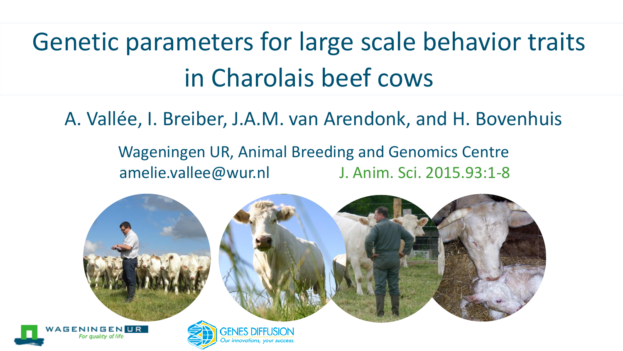# Genetic parameters for large scale behavior traits in Charolais beef cows

A. Vallée, I. Breiber, J.A.M. van Arendonk, and H. Bovenhuis

Wageningen UR, Animal Breeding and Genomics Centre amelie.vallee@wur.nl J. Anim. Sci. 2015.93:1-8

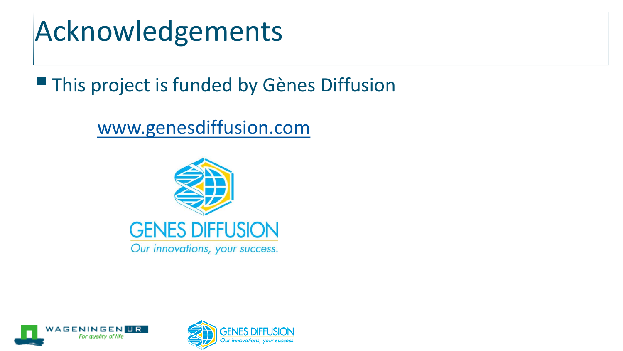## Acknowledgements

**This project is funded by Gènes Diffusion** 

#### [www.genesdiffusion.com](http://www.genesdiffusion.com/)





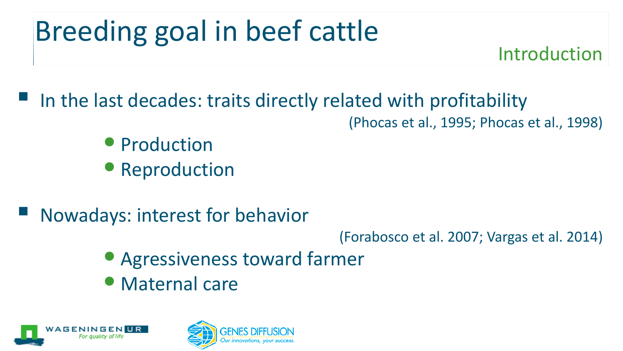# Breeding goal in beef cattle

Introduction

In the last decades: traits directly related with profitability

(Phocas et al., 1995; Phocas et al., 1998)

- Production
- Reproduction
- Nowadays: interest for behavior

(Forabosco et al. 2007; Vargas et al. 2014)

- Agressiveness toward farmer
- Maternal care



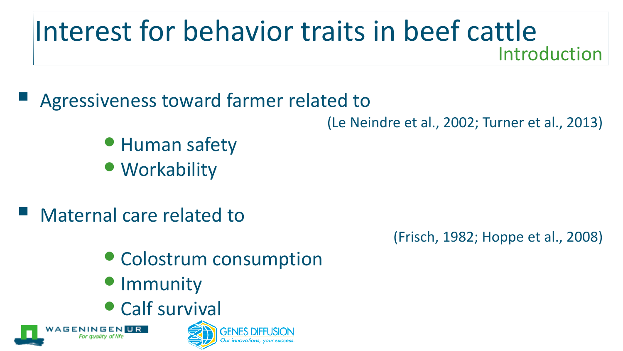## Interest for behavior traits in beef cattle Introduction

Agressiveness toward farmer related to

(Le Neindre et al., 2002; Turner et al., 2013)

- Human safety
- Workability
- Maternal care related to

(Frisch, 1982; Hoppe et al., 2008)

- Colostrum consumption
- Immunity
- [Calf s](http://www.wur.nl/UK/)urvival



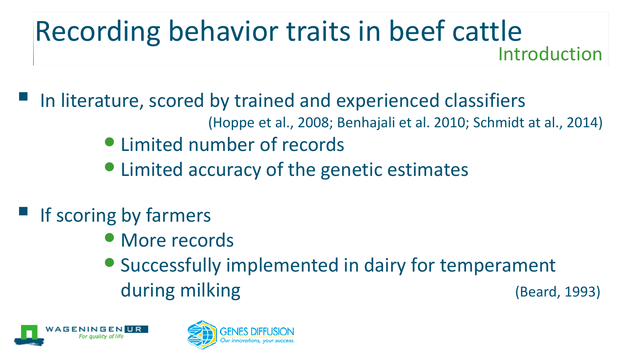## Recording behavior traits in beef cattle Introduction

 In literature, scored by trained and experienced classifiers (Hoppe et al., 2008; Benhajali et al. 2010; Schmidt at al., 2014)

- Limited number of records
- Limited accuracy of the genetic estimates
- $\blacksquare$  If scoring by farmers
	- More records
	- Successfully implemented in dairy for temperament during milking (Beard, 1993)



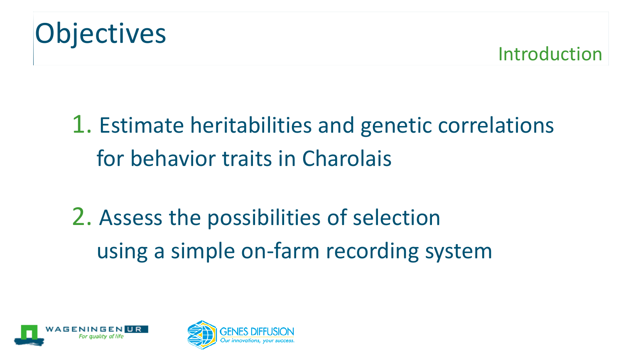

Introduction

## 1. Estimate heritabilities and genetic correlations for behavior traits in Charolais

2. Assess the possibilities of selection using a simple on-farm recording system



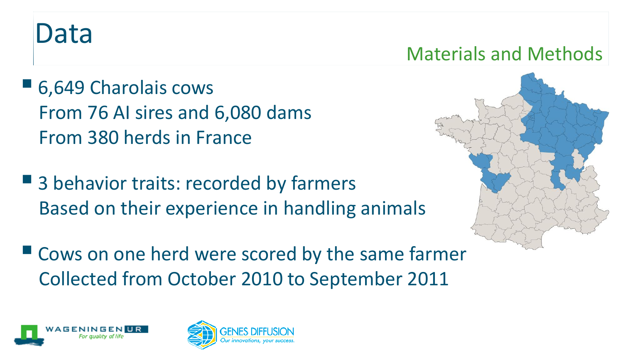## Data

### Materials and Methods

- 6,649 Charolais cows From 76 AI sires and 6,080 dams From 380 herds in France
- 3 behavior traits: recorded by farmers Based on their experience in handling animals
- Cows on one herd were scored by the same farmer Collected from October 2010 to September 2011





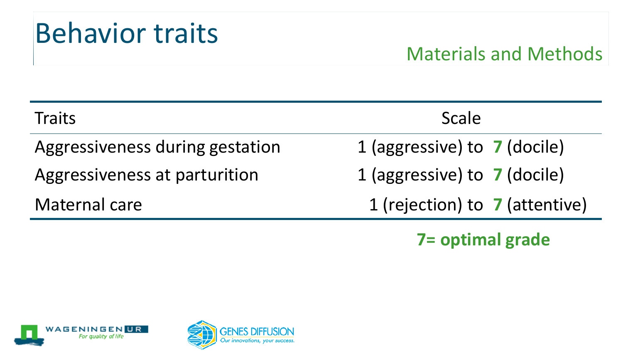## Behavior traits

### Materials and Methods

| <b>Traits</b>                   | Scale                          |
|---------------------------------|--------------------------------|
| Aggressiveness during gestation | 1 (aggressive) to 7 (docile)   |
| Aggressiveness at parturition   | 1 (aggressive) to 7 (docile)   |
| Maternal care                   | 1 (rejection) to 7 (attentive) |
|                                 |                                |

**7= optimal grade**



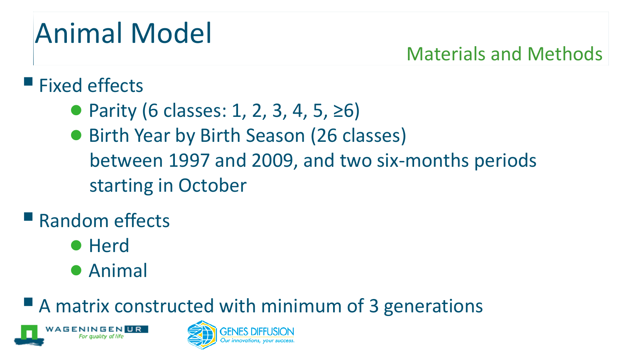## Animal Model

### Materials and Methods

### $\blacksquare$  Fixed effects

- Parity (6 classes: 1, 2, 3, 4, 5, ≥6)
- Birth Year by Birth Season (26 classes) between 1997 and 2009, and two six-months periods starting in October

## Random effects

- Herd
- Animal

A matrix constructed with minimum of 3 generations



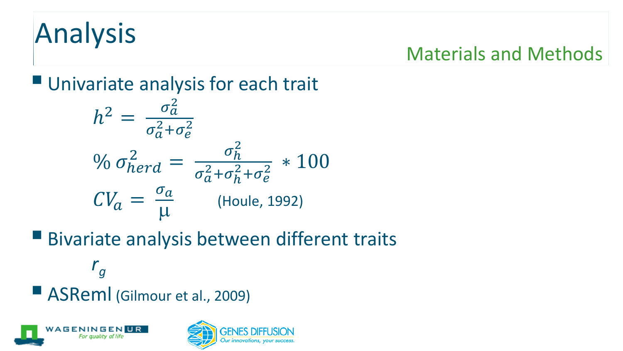# Analysis

### Materials and Methods

**Univariate analysis for each trait** 

$$
h^{2} = \frac{\sigma_{a}^{2}}{\sigma_{a}^{2} + \sigma_{e}^{2}}
$$
  
\n
$$
\% \sigma_{herd}^{2} = \frac{\sigma_{h}^{2}}{\sigma_{a}^{2} + \sigma_{h}^{2} + \sigma_{e}^{2}} \times 100
$$
  
\n
$$
CV_{a} = \frac{\sigma_{a}}{\mu}
$$
 (Houle, 1992)

Bivariate analysis between different traits

ASReml (Gilmour et al., 2009)



*rg*

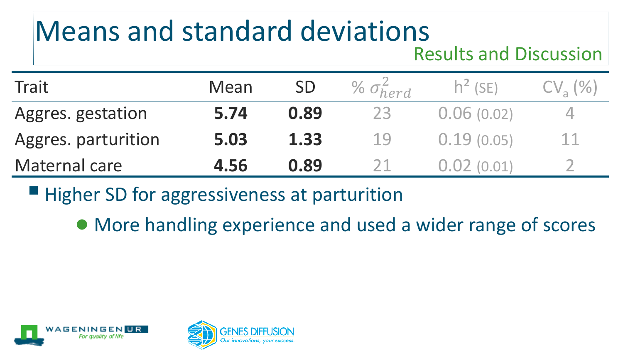# Means and standard deviations

#### Results and Discussion

| Trait               | Mean |      | % $\sigma_{herd}^2$ | $h^2$ (SE) | $CV_{2}$ (%) |
|---------------------|------|------|---------------------|------------|--------------|
| Aggres. gestation   | 5.74 | 0.89 |                     | 0.06(0.02) |              |
| Aggres. parturition | 5.03 | 1.33 | 19                  | 0.19(0.05) | 11           |
| Maternal care       | 4.56 | 0.89 |                     |            |              |

 $\blacksquare$  Higher SD for aggressiveness at parturition

● More handling experience and used a wider range of scores



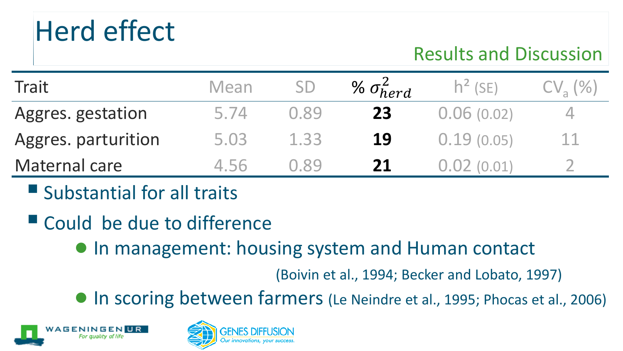## Herd effect

### Results and Discussion

| Trait               | Mean | <b>SD</b> | % $\sigma_{herd}^2$ | $h^2$ (SE) | $CVa(\%)$ |
|---------------------|------|-----------|---------------------|------------|-----------|
| Aggres. gestation   | 5.74 | 0.89      | 23                  | 0.06(0.02) |           |
| Aggres. parturition | 5.03 | 1.33      | 19                  | 0.19(0.05) | 11        |
| Maternal care       | 4 56 | O 89      | 21                  |            |           |

- $\blacksquare$  Substantial for all traits
- Could be due to difference
	- In management: housing system and Human contact

(Boivin et al., 1994; Becker and Lobato, 1997)

● In scoring between farmers (Le Neindre et al., 1995; Phocas et al., 2006)



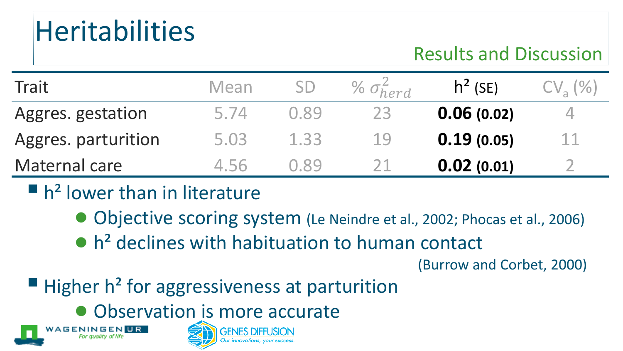## **Heritabilities**

### Results and Discussion

| Trait               | Mean | <b>SD</b> | % $\sigma_{herd}^2$ | $h^2$ (SE) | $CV_{2}(%$ |
|---------------------|------|-----------|---------------------|------------|------------|
| Aggres. gestation   | 5.74 | 0.89      | 23                  | 0.06(0.02) |            |
| Aggres. parturition | 5.03 | 1.33      | 19                  | 0.19(0.05) | 11         |
| Maternal care       | 4 56 | O 89      |                     | 0.02(0.01) |            |

 $\blacksquare$  h<sup>2</sup> lower than in literature

**AGENINGENUR** 

- Objective scoring system (Le Neindre et al., 2002; Phocas et al., 2006)
- $\bullet$  h<sup>2</sup> declines with habituation to human contact

(Burrow and Corbet, 2000)

- $\blacksquare$  Higher h<sup>2</sup> for aggressiveness at parturition
	- [Observat](http://www.wur.nl/UK/)ion is more accurate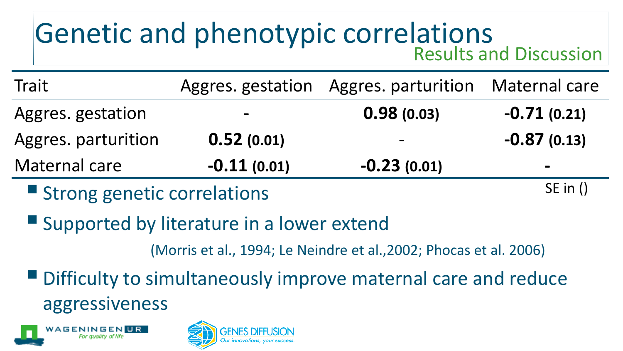### Genetic and phenotypic correlations Results and Discussion

| Trait               |                              | Aggres. gestation Aggres. parturition Maternal care |                |
|---------------------|------------------------------|-----------------------------------------------------|----------------|
| Aggres. gestation   | $\qquad \qquad \blacksquare$ | 0.98(0.03)                                          | $-0.71(0.21)$  |
| Aggres. parturition | 0.52(0.01)                   | $\overline{\phantom{m}}$                            | $-0.87(0.13)$  |
| Maternal care       | $-0.11(0.01)$                | $-0.23(0.01)$                                       | $\blacksquare$ |

**Strong genetic correlations** 

SE in ()

**Supported by literature in a lower extend** 

(Morris et al., 1994; Le Neindre et al.,2002; Phocas et al. 2006)

Difficulty to simultaneously improve maternal care and reduce aggressiveness



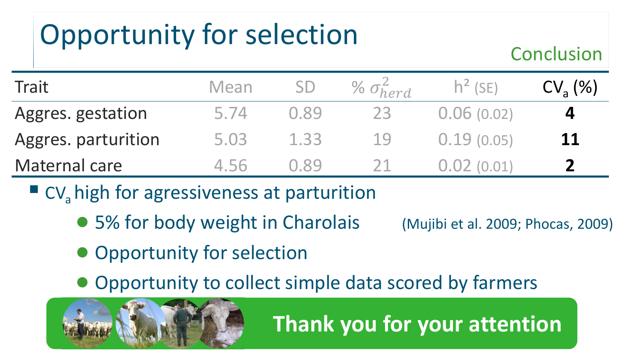# Opportunity for selection

#### Conclusion

| Trait               | Mean |      | % $\sigma_{herd}^2$ | $h^2$ (SE) | $CV_a (%)$ |
|---------------------|------|------|---------------------|------------|------------|
| Aggres. gestation   | 5.74 | 0.89 |                     | 0.06(0.02) | 4          |
| Aggres. parturition | 5.03 | 1.33 | -19                 | 0.19(0.05) | 11         |
| Maternal care       | 4 56 | N 89 |                     |            |            |

- $\blacksquare$  CV<sub>a</sub> high for agressiveness at parturition
	- 5% for body weight in Charolais (Mujibi et al. 2009; Phocas, 2009)

 **Thank you for your attention**

- Opportunity for selection
- Opportunity to collect simple data scored by farmers